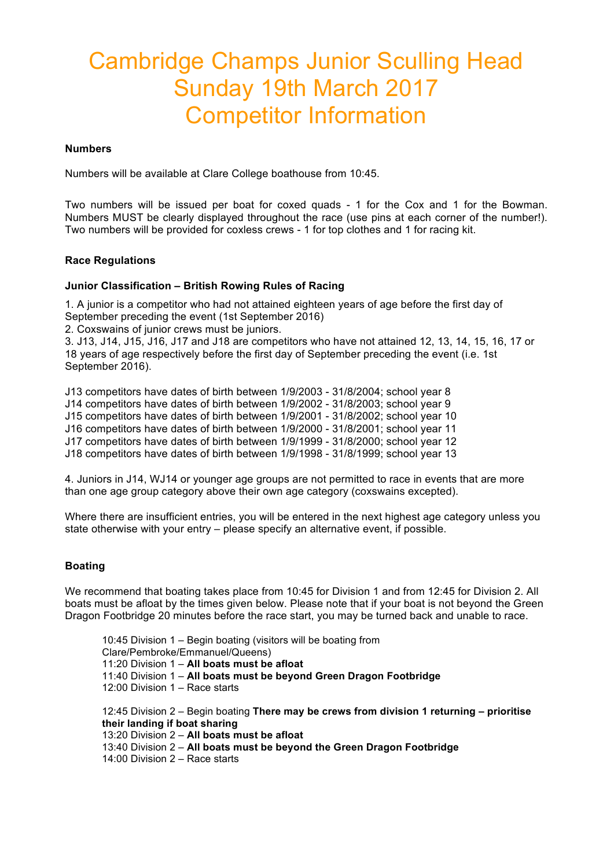# Cambridge Champs Junior Sculling Head Sunday 19th March 2017 Competitor Information

#### **Numbers**

Numbers will be available at Clare College boathouse from 10:45.

Two numbers will be issued per boat for coxed quads - 1 for the Cox and 1 for the Bowman. Numbers MUST be clearly displayed throughout the race (use pins at each corner of the number!). Two numbers will be provided for coxless crews - 1 for top clothes and 1 for racing kit.

#### **Race Regulations**

#### **Junior Classification – British Rowing Rules of Racing**

1. A junior is a competitor who had not attained eighteen years of age before the first day of September preceding the event (1st September 2016)

2. Coxswains of junior crews must be juniors.

3. J13, J14, J15, J16, J17 and J18 are competitors who have not attained 12, 13, 14, 15, 16, 17 or 18 years of age respectively before the first day of September preceding the event (i.e. 1st September 2016).

J13 competitors have dates of birth between 1/9/2003 - 31/8/2004; school year 8 J14 competitors have dates of birth between 1/9/2002 - 31/8/2003; school year 9 J15 competitors have dates of birth between 1/9/2001 - 31/8/2002; school year 10 J16 competitors have dates of birth between 1/9/2000 - 31/8/2001; school year 11 J17 competitors have dates of birth between 1/9/1999 - 31/8/2000; school year 12 J18 competitors have dates of birth between 1/9/1998 - 31/8/1999; school year 13

4. Juniors in J14, WJ14 or younger age groups are not permitted to race in events that are more than one age group category above their own age category (coxswains excepted).

Where there are insufficient entries, you will be entered in the next highest age category unless you state otherwise with your entry – please specify an alternative event, if possible.

#### **Boating**

We recommend that boating takes place from 10:45 for Division 1 and from 12:45 for Division 2. All boats must be afloat by the times given below. Please note that if your boat is not beyond the Green Dragon Footbridge 20 minutes before the race start, you may be turned back and unable to race.

10:45 Division 1 – Begin boating (visitors will be boating from Clare/Pembroke/Emmanuel/Queens) 11:20 Division 1 – **All boats must be afloat** 11:40 Division 1 – **All boats must be beyond Green Dragon Footbridge** 12:00 Division 1 – Race starts 12:45 Division 2 – Begin boating **There may be crews from division 1 returning – prioritise their landing if boat sharing** 13:20 Division 2 – **All boats must be afloat** 13:40 Division 2 – **All boats must be beyond the Green Dragon Footbridge**

14:00 Division 2 – Race starts